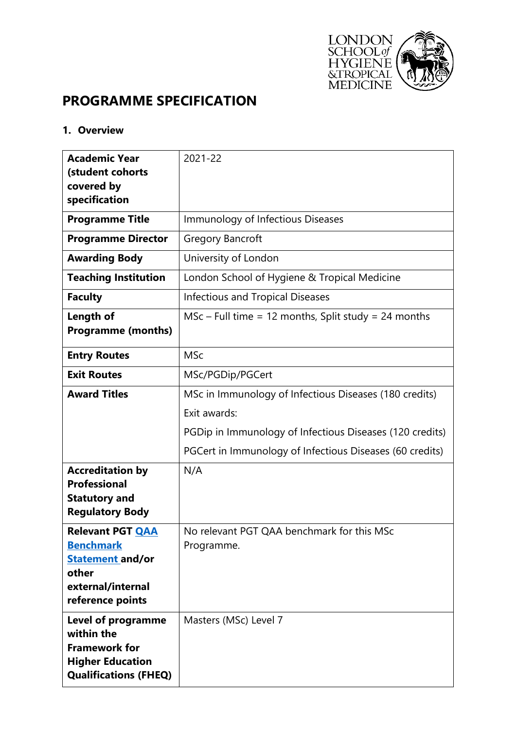

# **PROGRAMME SPECIFICATION**

### **1. Overview**

| <b>Academic Year</b>         | 2021-22                                                  |  |  |  |
|------------------------------|----------------------------------------------------------|--|--|--|
| (student cohorts             |                                                          |  |  |  |
| covered by                   |                                                          |  |  |  |
| specification                |                                                          |  |  |  |
| <b>Programme Title</b>       | Immunology of Infectious Diseases                        |  |  |  |
| <b>Programme Director</b>    | <b>Gregory Bancroft</b>                                  |  |  |  |
| <b>Awarding Body</b>         | University of London                                     |  |  |  |
| <b>Teaching Institution</b>  | London School of Hygiene & Tropical Medicine             |  |  |  |
| <b>Faculty</b>               | <b>Infectious and Tropical Diseases</b>                  |  |  |  |
| Length of                    | $MSc$ – Full time = 12 months, Split study = 24 months   |  |  |  |
| <b>Programme (months)</b>    |                                                          |  |  |  |
| <b>Entry Routes</b>          | <b>MSc</b>                                               |  |  |  |
|                              |                                                          |  |  |  |
| <b>Exit Routes</b>           | MSc/PGDip/PGCert                                         |  |  |  |
| <b>Award Titles</b>          | MSc in Immunology of Infectious Diseases (180 credits)   |  |  |  |
|                              | Exit awards:                                             |  |  |  |
|                              | PGDip in Immunology of Infectious Diseases (120 credits) |  |  |  |
|                              | PGCert in Immunology of Infectious Diseases (60 credits) |  |  |  |
| <b>Accreditation by</b>      | N/A                                                      |  |  |  |
| <b>Professional</b>          |                                                          |  |  |  |
| <b>Statutory and</b>         |                                                          |  |  |  |
| <b>Regulatory Body</b>       |                                                          |  |  |  |
| <b>Relevant PGT QAA</b>      | No relevant PGT QAA benchmark for this MSc               |  |  |  |
| <b>Benchmark</b>             | Programme.                                               |  |  |  |
| <b>Statement and/or</b>      |                                                          |  |  |  |
| other                        |                                                          |  |  |  |
| external/internal            |                                                          |  |  |  |
| reference points             |                                                          |  |  |  |
| <b>Level of programme</b>    | Masters (MSc) Level 7                                    |  |  |  |
| within the                   |                                                          |  |  |  |
| <b>Framework for</b>         |                                                          |  |  |  |
| <b>Higher Education</b>      |                                                          |  |  |  |
| <b>Qualifications (FHEQ)</b> |                                                          |  |  |  |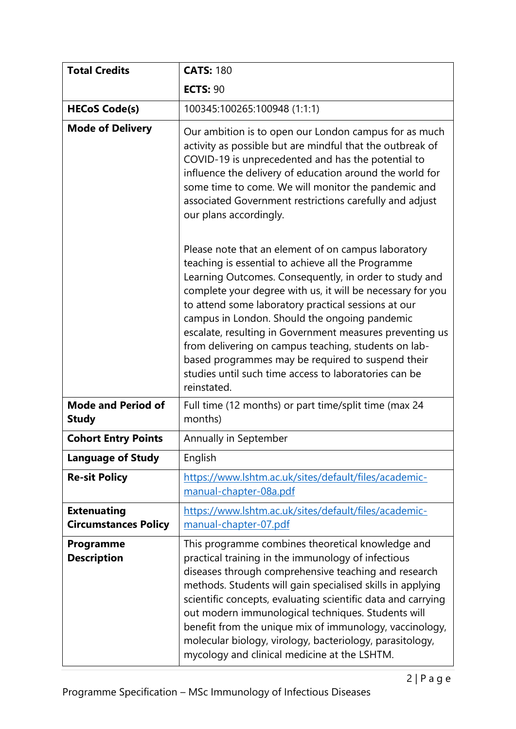| <b>Total Credits</b>                              | <b>CATS: 180</b>                                                                                                                                                                                                                                                                                                                                                                                                                                                                                                                                                                           |  |  |
|---------------------------------------------------|--------------------------------------------------------------------------------------------------------------------------------------------------------------------------------------------------------------------------------------------------------------------------------------------------------------------------------------------------------------------------------------------------------------------------------------------------------------------------------------------------------------------------------------------------------------------------------------------|--|--|
|                                                   | <b>ECTS: 90</b>                                                                                                                                                                                                                                                                                                                                                                                                                                                                                                                                                                            |  |  |
| <b>HECoS Code(s)</b>                              | 100345:100265:100948 (1:1:1)                                                                                                                                                                                                                                                                                                                                                                                                                                                                                                                                                               |  |  |
| <b>Mode of Delivery</b>                           | Our ambition is to open our London campus for as much<br>activity as possible but are mindful that the outbreak of<br>COVID-19 is unprecedented and has the potential to<br>influence the delivery of education around the world for<br>some time to come. We will monitor the pandemic and<br>associated Government restrictions carefully and adjust<br>our plans accordingly.                                                                                                                                                                                                           |  |  |
|                                                   | Please note that an element of on campus laboratory<br>teaching is essential to achieve all the Programme<br>Learning Outcomes. Consequently, in order to study and<br>complete your degree with us, it will be necessary for you<br>to attend some laboratory practical sessions at our<br>campus in London. Should the ongoing pandemic<br>escalate, resulting in Government measures preventing us<br>from delivering on campus teaching, students on lab-<br>based programmes may be required to suspend their<br>studies until such time access to laboratories can be<br>reinstated. |  |  |
| <b>Mode and Period of</b><br><b>Study</b>         | Full time (12 months) or part time/split time (max 24<br>months)                                                                                                                                                                                                                                                                                                                                                                                                                                                                                                                           |  |  |
| <b>Cohort Entry Points</b>                        | Annually in September                                                                                                                                                                                                                                                                                                                                                                                                                                                                                                                                                                      |  |  |
| <b>Language of Study</b>                          | English                                                                                                                                                                                                                                                                                                                                                                                                                                                                                                                                                                                    |  |  |
| <b>Re-sit Policy</b>                              | https://www.lshtm.ac.uk/sites/default/files/academic-<br>manual-chapter-08a.pdf                                                                                                                                                                                                                                                                                                                                                                                                                                                                                                            |  |  |
| <b>Extenuating</b><br><b>Circumstances Policy</b> | https://www.lshtm.ac.uk/sites/default/files/academic-<br>manual-chapter-07.pdf                                                                                                                                                                                                                                                                                                                                                                                                                                                                                                             |  |  |
| <b>Programme</b><br><b>Description</b>            | This programme combines theoretical knowledge and<br>practical training in the immunology of infectious<br>diseases through comprehensive teaching and research<br>methods. Students will gain specialised skills in applying<br>scientific concepts, evaluating scientific data and carrying<br>out modern immunological techniques. Students will<br>benefit from the unique mix of immunology, vaccinology,<br>molecular biology, virology, bacteriology, parasitology,<br>mycology and clinical medicine at the LSHTM.                                                                 |  |  |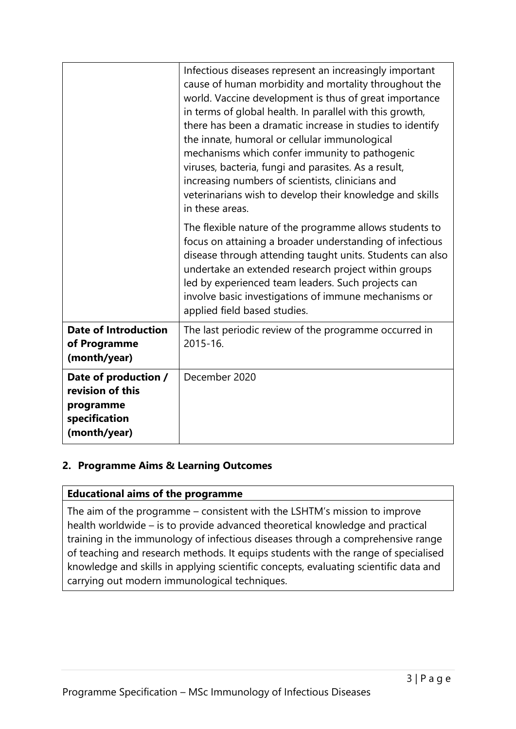|                                                                                        | Infectious diseases represent an increasingly important<br>cause of human morbidity and mortality throughout the<br>world. Vaccine development is thus of great importance<br>in terms of global health. In parallel with this growth,<br>there has been a dramatic increase in studies to identify<br>the innate, humoral or cellular immunological<br>mechanisms which confer immunity to pathogenic<br>viruses, bacteria, fungi and parasites. As a result,<br>increasing numbers of scientists, clinicians and<br>veterinarians wish to develop their knowledge and skills<br>in these areas. |
|----------------------------------------------------------------------------------------|---------------------------------------------------------------------------------------------------------------------------------------------------------------------------------------------------------------------------------------------------------------------------------------------------------------------------------------------------------------------------------------------------------------------------------------------------------------------------------------------------------------------------------------------------------------------------------------------------|
|                                                                                        | The flexible nature of the programme allows students to<br>focus on attaining a broader understanding of infectious<br>disease through attending taught units. Students can also<br>undertake an extended research project within groups<br>led by experienced team leaders. Such projects can<br>involve basic investigations of immune mechanisms or<br>applied field based studies.                                                                                                                                                                                                            |
| <b>Date of Introduction</b><br>of Programme<br>(month/year)                            | The last periodic review of the programme occurred in<br>2015-16.                                                                                                                                                                                                                                                                                                                                                                                                                                                                                                                                 |
| Date of production /<br>revision of this<br>programme<br>specification<br>(month/year) | December 2020                                                                                                                                                                                                                                                                                                                                                                                                                                                                                                                                                                                     |

# **2. Programme Aims & Learning Outcomes**

### **Educational aims of the programme**

The aim of the programme – consistent with the LSHTM's mission to improve health worldwide – is to provide advanced theoretical knowledge and practical training in the immunology of infectious diseases through a comprehensive range of teaching and research methods. It equips students with the range of specialised knowledge and skills in applying scientific concepts, evaluating scientific data and carrying out modern immunological techniques.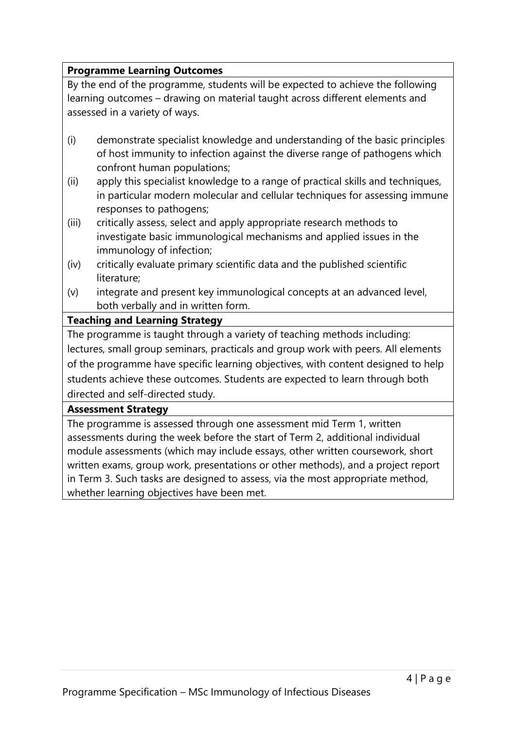## **Programme Learning Outcomes**

By the end of the programme, students will be expected to achieve the following learning outcomes – drawing on material taught across different elements and assessed in a variety of ways.

- (i) demonstrate specialist knowledge and understanding of the basic principles of host immunity to infection against the diverse range of pathogens which confront human populations;
- (ii) apply this specialist knowledge to a range of practical skills and techniques, in particular modern molecular and cellular techniques for assessing immune responses to pathogens;
- (iii) critically assess, select and apply appropriate research methods to investigate basic immunological mechanisms and applied issues in the immunology of infection;
- (iv) critically evaluate primary scientific data and the published scientific literature;
- (v) integrate and present key immunological concepts at an advanced level, both verbally and in written form.

# **Teaching and Learning Strategy**

The programme is taught through a variety of teaching methods including: lectures, small group seminars, practicals and group work with peers. All elements of the programme have specific learning objectives, with content designed to help students achieve these outcomes. Students are expected to learn through both directed and self-directed study.

### **Assessment Strategy**

The programme is assessed through one assessment mid Term 1, written assessments during the week before the start of Term 2, additional individual module assessments (which may include essays, other written coursework, short written exams, group work, presentations or other methods), and a project report in Term 3. Such tasks are designed to assess, via the most appropriate method, whether learning objectives have been met.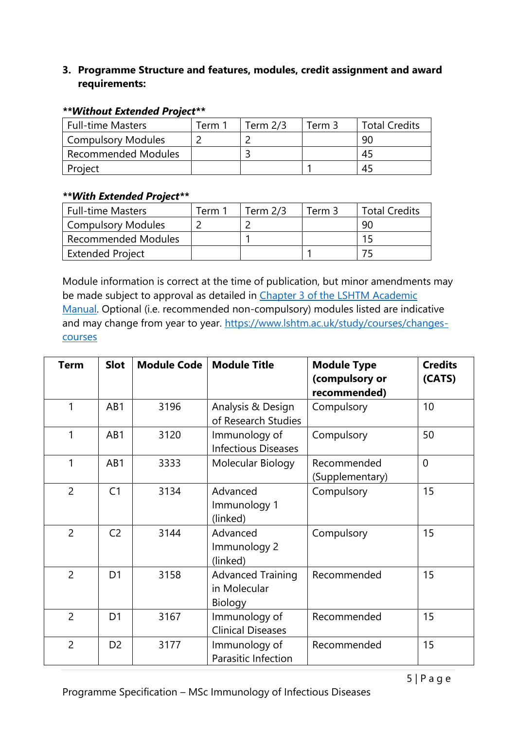## **3. Programme Structure and features, modules, credit assignment and award requirements:**

| <b>Full-time Masters</b>   | Term 1. | Term $2/3$ | Term 3 | <b>Total Credits</b> |
|----------------------------|---------|------------|--------|----------------------|
| Compulsory Modules         |         |            |        | -90                  |
| <b>Recommended Modules</b> |         |            |        | 45                   |
| Project                    |         |            |        | 45                   |

#### *\*\*Without Extended Project\*\**

#### *\*\*With Extended Project\*\**

| Full-time Masters          | Term 1 | Term $2/3$ | Term 3 | <b>Total Credits</b> |
|----------------------------|--------|------------|--------|----------------------|
| Compulsory Modules         |        |            |        | 90                   |
| <b>Recommended Modules</b> |        |            |        |                      |
| <b>Extended Project</b>    |        |            |        |                      |

Module information is correct at the time of publication, but minor amendments may be made subject to approval as detailed in Chapter 3 of the LSHTM Academic [Manual.](https://www.lshtm.ac.uk/sites/default/files/academic-manual-chapter-03.pdf) Optional (i.e. recommended non-compulsory) modules listed are indicative and may change from year to year. [https://www.lshtm.ac.uk/study/courses/changes](https://www.lshtm.ac.uk/study/courses/changes-courses)[courses](https://www.lshtm.ac.uk/study/courses/changes-courses)

| <b>Term</b>    | <b>Slot</b>    | <b>Module Code</b> | <b>Module Title</b>                                 | <b>Module Type</b><br>(compulsory or<br>recommended) | <b>Credits</b><br>(CATS) |
|----------------|----------------|--------------------|-----------------------------------------------------|------------------------------------------------------|--------------------------|
| 1              | AB1            | 3196               | Analysis & Design<br>of Research Studies            | Compulsory                                           | 10                       |
| 1              | AB1            | 3120               | Immunology of<br><b>Infectious Diseases</b>         | Compulsory                                           | 50                       |
| 1              | AB1            | 3333               | Molecular Biology                                   | Recommended<br>(Supplementary)                       | $\overline{0}$           |
| $\overline{2}$ | C <sub>1</sub> | 3134               | Advanced<br>Immunology 1<br>(linked)                | Compulsory                                           | 15                       |
| $\overline{2}$ | C <sub>2</sub> | 3144               | Advanced<br>Immunology 2<br>(linked)                | Compulsory                                           | 15                       |
| $\overline{2}$ | D <sub>1</sub> | 3158               | <b>Advanced Training</b><br>in Molecular<br>Biology | Recommended                                          | 15                       |
| $\overline{2}$ | D <sub>1</sub> | 3167               | Immunology of<br><b>Clinical Diseases</b>           | Recommended                                          | 15                       |
| $\overline{2}$ | D <sub>2</sub> | 3177               | Immunology of<br>Parasitic Infection                | Recommended                                          | 15                       |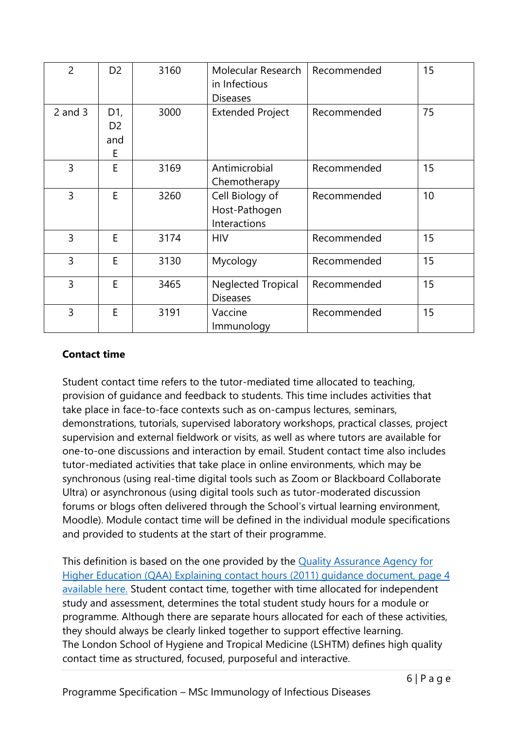| $\overline{2}$ | D <sub>2</sub>                    | 3160 | Molecular Research<br>in Infectious<br><b>Diseases</b> | Recommended | 15 |
|----------------|-----------------------------------|------|--------------------------------------------------------|-------------|----|
| $2$ and $3$    | D1,<br>D <sub>2</sub><br>and<br>Е | 3000 | <b>Extended Project</b>                                | Recommended | 75 |
| $\overline{3}$ | E                                 | 3169 | Antimicrobial<br>Chemotherapy                          | Recommended | 15 |
| $\overline{3}$ | E                                 | 3260 | Cell Biology of<br>Host-Pathogen<br>Interactions       | Recommended | 10 |
| 3              | E                                 | 3174 | <b>HIV</b>                                             | Recommended | 15 |
| 3              | E                                 | 3130 | Mycology                                               | Recommended | 15 |
| $\overline{3}$ | E                                 | 3465 | <b>Neglected Tropical</b><br><b>Diseases</b>           | Recommended | 15 |
| 3              | E                                 | 3191 | Vaccine<br>Immunology                                  | Recommended | 15 |

# **Contact time**

Student contact time refers to the tutor-mediated time allocated to teaching, provision of guidance and feedback to students. This time includes activities that take place in face-to-face contexts such as on-campus lectures, seminars, demonstrations, tutorials, supervised laboratory workshops, practical classes, project supervision and external fieldwork or visits, as well as where tutors are available for one-to-one discussions and interaction by email. Student contact time also includes tutor-mediated activities that take place in online environments, which may be synchronous (using real-time digital tools such as Zoom or Blackboard Collaborate Ultra) or asynchronous (using digital tools such as tutor-moderated discussion forums or blogs often delivered through the School's virtual learning environment, Moodle). Module contact time will be defined in the individual module specifications and provided to students at the start of their programme.

This definition is based on the one provided by the **Quality Assurance Agency for** [Higher Education \(QAA\) Explaining contact hours \(2011\) guidance document, page 4](https://www.qaa.ac.uk/docs/qaa/quality-code/contact-hours-guidance.pdf)  [available here.](https://www.qaa.ac.uk/docs/qaa/quality-code/contact-hours-guidance.pdf) Student contact time, together with time allocated for independent study and assessment, determines the total student study hours for a module or programme. Although there are separate hours allocated for each of these activities, they should always be clearly linked together to support effective learning. The London School of Hygiene and Tropical Medicine (LSHTM) defines high quality contact time as structured, focused, purposeful and interactive.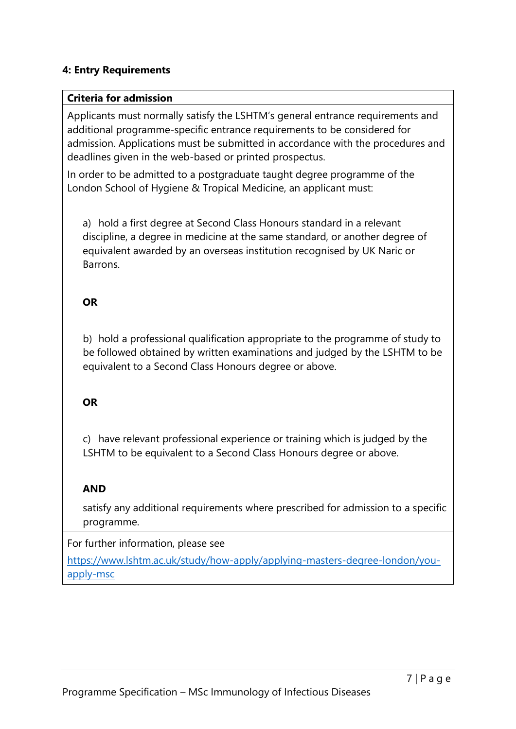### **4: Entry Requirements**

#### **Criteria for admission**

Applicants must normally satisfy the LSHTM's general entrance requirements and additional programme-specific entrance requirements to be considered for admission. Applications must be submitted in accordance with the procedures and deadlines given in the web-based or printed prospectus.

In order to be admitted to a postgraduate taught degree programme of the London School of Hygiene & Tropical Medicine, an applicant must:

a) hold a first degree at Second Class Honours standard in a relevant discipline, a degree in medicine at the same standard, or another degree of equivalent awarded by an overseas institution recognised by UK Naric or Barrons.

## **OR**

b) hold a professional qualification appropriate to the programme of study to be followed obtained by written examinations and judged by the LSHTM to be equivalent to a Second Class Honours degree or above.

### **OR**

c) have relevant professional experience or training which is judged by the LSHTM to be equivalent to a Second Class Honours degree or above.

# **AND**

satisfy any additional requirements where prescribed for admission to a specific programme.

### For further information, please see

[https://www.lshtm.ac.uk/study/how-apply/applying-masters-degree-london/you](https://www.lshtm.ac.uk/study/how-apply/applying-masters-degree-london/you-apply-msc)[apply-msc](https://www.lshtm.ac.uk/study/how-apply/applying-masters-degree-london/you-apply-msc)